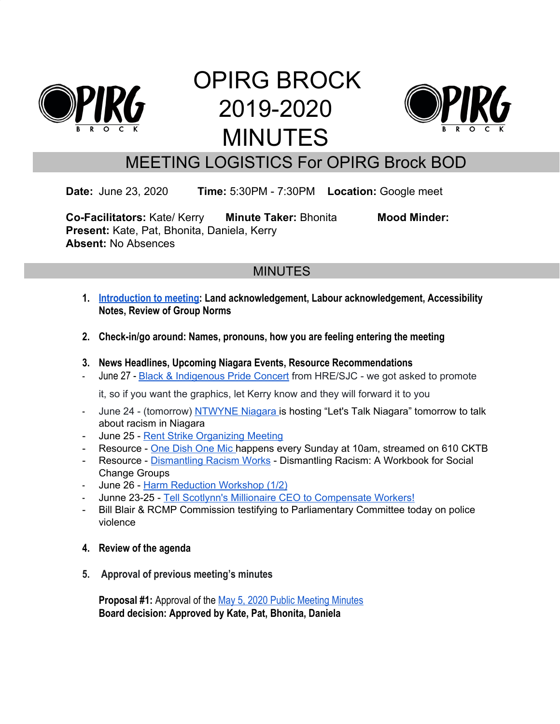

# OPIRG BROCK 2019-2020 MINUTES



## MEETING LOGISTICS For OPIRG Brock BOD

**Date:** June 23, 2020 **Time:** 5:30PM - 7:30PM **Location:** Google meet

**Co-Facilitators:** Kate/ Kerry **Minute Taker:** Bhonita **Mood Minder: Present:** Kate, Pat, Bhonita, Daniela, Kerry **Absent:** No Absences

### **MINUTES**

- **1. [Introduction to meeting:](https://docs.google.com/document/d/1oq5QTQxiHg-sc3RS-rfF2ow0I8FZIC1TM6Ch9_1rR5E/edit) Land acknowledgement, Labour acknowledgement, Accessibility Notes, Review of Group Norms**
- **2. Check-in/go around: Names, pronouns, how you are feeling entering the meeting**
- **3. News Headlines, Upcoming Niagara Events, Resource Recommendations**
- June 27 Black & [Indigenous](https://www.facebook.com/events/580464349178662/) Pride Concert from HRE/SJC we got asked to promote

it, so if you want the graphics, let Kerry know and they will forward it to you

- June 24 (tomorrow) [NTWYNE](https://www.facebook.com/nTwyneNiagara/) Niagara is hosting "Let's Talk Niagara" tomorrow to talk about racism in Niagara
- June 25 Rent Strike [Organizing](https://www.facebook.com/events/276771930043499/) Meeting
- Resource One [Dish](https://www.iheartradio.ca/610cktb/shows/one-dish-one-mic-1.9373503) One Mic happens every Sunday at 10am, streamed on 610 CKTB
- Resource [Dismantling](https://www.dismantlingracism.org/) Racism Works Dismantling Racism: A Workbook for Social Change Groups
- June 26 Harm [Reduction](https://www.facebook.com/events/963656294083143/) Workshop (1/2)
- Junne 23-25 Tell Scotlynn's Millionaire CEO to [Compensate](https://www.facebook.com/events/587767725448679/) Workers!
- Bill Blair & RCMP Commission testifying to Parliamentary Committee today on police violence
- **4. Review of the agenda**
- **5. Approval of previous meeting's minutes**

**Proposal #1:** Approval of the [May 5, 2020 Public Meeting Minutes](https://docs.google.com/document/d/1G_Y0xowdwNtzohP8Zt6iK0c6oO4c2MPyl7jNuSVxzOA/edit) **Board decision: Approved by Kate, Pat, Bhonita, Daniela**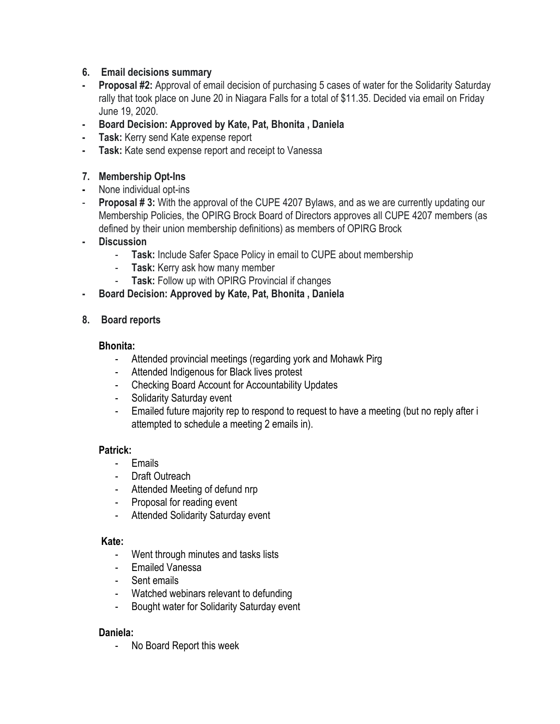#### **6. Email decisions summary**

- **- Proposal #2:** Approval of email decision of purchasing 5 cases of water for the Solidarity Saturday rally that took place on June 20 in Niagara Falls for a total of \$11.35. Decided via email on Friday June 19, 2020.
- **- Board Decision: Approved by Kate, Pat, Bhonita , Daniela**
- **- Task:** Kerry send Kate expense report
- **- Task:** Kate send expense report and receipt to Vanessa

#### **7. Membership Opt-Ins**

- **-** None individual opt-ins
- **Proposal # 3:** With the approval of the CUPE 4207 Bylaws, and as we are currently updating our Membership Policies, the OPIRG Brock Board of Directors approves all CUPE 4207 members (as defined by their union membership definitions) as members of OPIRG Brock
- **- Discussion**
	- **Task:** Include Safer Space Policy in email to CUPE about membership
	- **Task:** Kerry ask how many member
	- **Task:** Follow up with OPIRG Provincial if changes
- **- Board Decision: Approved by Kate, Pat, Bhonita , Daniela**

#### **8. Board reports**

#### **Bhonita:**

- Attended provincial meetings (regarding york and Mohawk Pirg
- Attended Indigenous for Black lives protest
- Checking Board Account for Accountability Updates
- Solidarity Saturday event
- Emailed future majority rep to respond to request to have a meeting (but no reply after i attempted to schedule a meeting 2 emails in).

#### **Patrick:**

- **Emails**
- Draft Outreach
- Attended Meeting of defund nrp
- Proposal for reading event
- Attended Solidarity Saturday event

#### **Kate:**

- Went through minutes and tasks lists
- Emailed Vanessa
- Sent emails
- Watched webinars relevant to defunding
- Bought water for Solidarity Saturday event

#### **Daniela:**

- No Board Report this week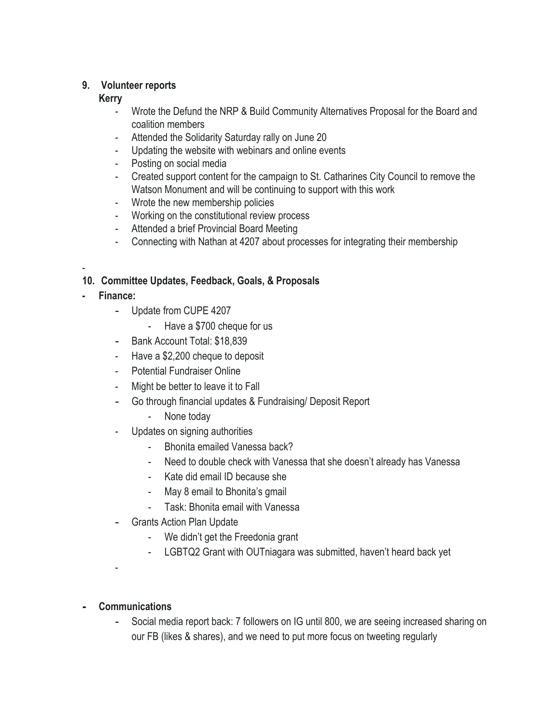#### **9. Volunteer reports**

#### **Kerry**

- Wrote the Defund the NRP & Build Community Alternatives Proposal for the Board and coalition members
- Attended the Solidarity Saturday rally on June 20
- Updating the website with webinars and online events
- Posting on social media
- Created support content for the campaign to St. Catharines City Council to remove the Watson Monument and will be continuing to support with this work
- Wrote the new membership policies
- Working on the constitutional review process
- Attended a brief Provincial Board Meeting
- Connecting with Nathan at 4207 about processes for integrating their membership

#### - **10. Committee Updates, Feedback, Goals, & Proposals**

- **- Finance:**
	- Update from CUPE 4207
		- Have a \$700 cheque for us
	- Bank Account Total: \$18,839
	- Have a \$2,200 cheque to deposit
	- Potential Fundraiser Online
	- Might be better to leave it to Fall
	- Go through financial updates & Fundraising/ Deposit Report
		- None today
	- Updates on signing authorities
		- Bhonita emailed Vanessa back?
		- Need to double check with Vanessa that she doesn't already has Vanessa
		- Kate did email ID because she
		- May 8 email to Bhonita's gmail
		- Task: Bhonita email with Vanessa
	- Grants Action Plan Update
		- We didn't get the Freedonia grant
		- LGBTQ2 Grant with OUTniagara was submitted, haven't heard back yet

-

#### **- Communications**

Social media report back: 7 followers on IG until 800, we are seeing increased sharing on our FB (likes & shares), and we need to put more focus on tweeting regularly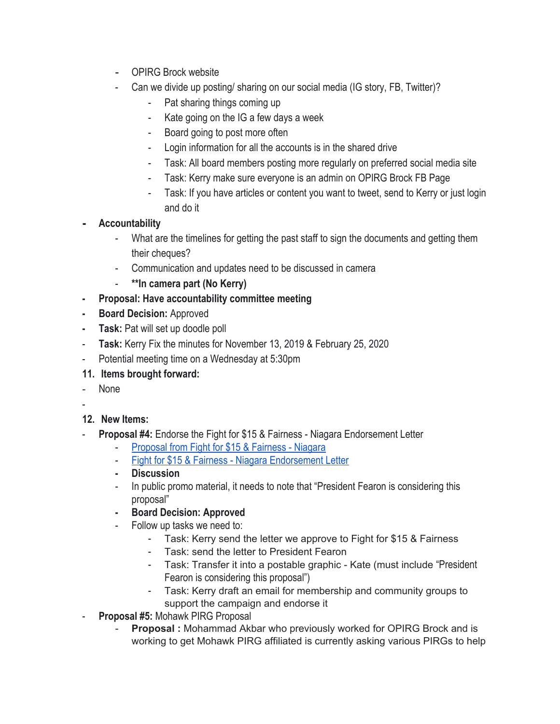- OPIRG Brock website
- Can we divide up posting/ sharing on our social media (IG story, FB, Twitter)?
	- Pat sharing things coming up
	- Kate going on the IG a few days a week
	- Board going to post more often
	- Login information for all the accounts is in the shared drive
	- Task: All board members posting more regularly on preferred social media site
	- Task: Kerry make sure everyone is an admin on OPIRG Brock FB Page
	- Task: If you have articles or content you want to tweet, send to Kerry or just login and do it
- **- Accountability**
	- What are the timelines for getting the past staff to sign the documents and getting them their cheques?
	- Communication and updates need to be discussed in camera
	- **\*\*In camera part (No Kerry)**
- **- Proposal: Have accountability committee meeting**
- **- Board Decision:** Approved
- **- Task:** Pat will set up doodle poll
- **Task:** Kerry Fix the minutes for November 13, 2019 & February 25, 2020
- Potential meeting time on a Wednesday at 5:30pm
- **11. Items brought forward:**
- None
- -
- **12. New Items:**
- **Proposal #4:** Endorse the Fight for \$15 & Fairness Niagara Endorsement Letter
	- [Proposal from Fight for \\$15 & Fairness Niagara](https://docs.google.com/document/d/1YGSk-sMesyZ5j5H6QShvLEsERbCfWJC7sCtg6Y49zWU/edit#heading=h.gjdgxs)
	- [Fight for \\$15 & Fairness Niagara Endorsement Letter](https://docs.google.com/document/d/1sNBxGDPky3Xxes927Kn0ybB_fCz2zbKMVhKcSkuy8-w/edit?ts=5ef0b18a)
	- **- Discussion**
	- In public promo material, it needs to note that "President Fearon is considering this proposal"
	- **- Board Decision: Approved**
		- Follow up tasks we need to:
			- Task: Kerry send the letter we approve to Fight for \$15 & Fairness
			- Task: send the letter to President Fearon
			- Task: Transfer it into a postable graphic Kate (must include "President Fearon is considering this proposal")
			- Task: Kerry draft an email for membership and community groups to support the campaign and endorse it
- **Proposal #5: Mohawk PIRG Proposal** 
	- **Proposal :** Mohammad Akbar who previously worked for OPIRG Brock and is working to get Mohawk PIRG affiliated is currently asking various PIRGs to help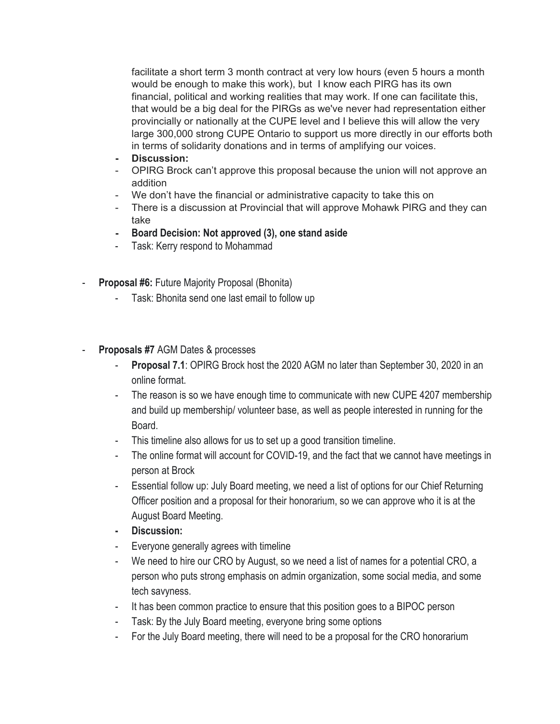facilitate a short term 3 month contract at very low hours (even 5 hours a month would be enough to make this work), but I know each PIRG has its own financial, political and working realities that may work. If one can facilitate this, that would be a big deal for the PIRGs as we've never had representation either provincially or nationally at the CUPE level and I believe this will allow the very large 300,000 strong CUPE Ontario to support us more directly in our efforts both in terms of solidarity donations and in terms of amplifying our voices.

- **- Discussion:**
- OPIRG Brock can't approve this proposal because the union will not approve an addition
- We don't have the financial or administrative capacity to take this on
- There is a discussion at Provincial that will approve Mohawk PIRG and they can take
- **- Board Decision: Not approved (3), one stand aside**
- Task: Kerry respond to Mohammad
- **Proposal #6: Future Majority Proposal (Bhonita)** 
	- Task: Bhonita send one last email to follow up
- **Proposals #7** AGM Dates & processes
	- **Proposal 7.1: OPIRG Brock host the 2020 AGM no later than September 30, 2020 in an** online format.
	- The reason is so we have enough time to communicate with new CUPE 4207 membership and build up membership/ volunteer base, as well as people interested in running for the Board.
	- This timeline also allows for us to set up a good transition timeline.
	- The online format will account for COVID-19, and the fact that we cannot have meetings in person at Brock
	- Essential follow up: July Board meeting, we need a list of options for our Chief Returning Officer position and a proposal for their honorarium, so we can approve who it is at the August Board Meeting.
	- **- Discussion:**
	- Everyone generally agrees with timeline
	- We need to hire our CRO by August, so we need a list of names for a potential CRO, a person who puts strong emphasis on admin organization, some social media, and some tech savyness.
	- It has been common practice to ensure that this position goes to a BIPOC person
	- Task: By the July Board meeting, everyone bring some options
	- For the July Board meeting, there will need to be a proposal for the CRO honorarium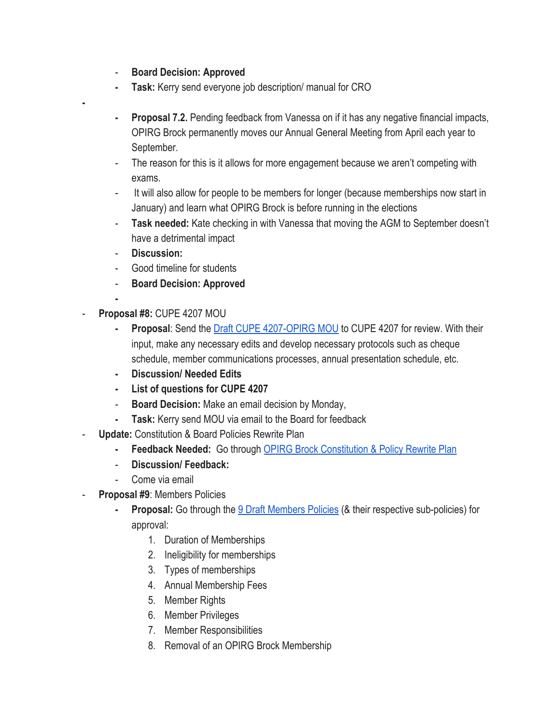- **Board Decision: Approved**
- **- Task:** Kerry send everyone job description/ manual for CRO
- **- Proposal 7.2.** Pending feedback from Vanessa on if it has any negative financial impacts, OPIRG Brock permanently moves our Annual General Meeting from April each year to September.
- The reason for this is it allows for more engagement because we aren't competing with exams.
- It will also allow for people to be members for longer (because memberships now start in January) and learn what OPIRG Brock is before running in the elections
- **Task needed:** Kate checking in with Vanessa that moving the AGM to September doesn't have a detrimental impact
- **Discussion:**
- Good timeline for students
- **Board Decision: Approved**
- **-**

**-**

- **Proposal #8:** CUPE 4207 MOU
	- **- Proposal**: Send the [Draft CUPE 4207-OPIRG MOU](https://docs.google.com/document/d/1MwQZmKkeQN9U6XF1SAx4mDoBOIOFhLuI9B47YlhExpE/edit) to CUPE 4207 for review. With their input, make any necessary edits and develop necessary protocols such as cheque schedule, member communications processes, annual presentation schedule, etc.
	- **- Discussion/ Needed Edits**
	- **- List of questions for CUPE 4207**
	- **Board Decision:** Make an email decision by Monday,
	- **- Task:** Kerry send MOU via email to the Board for feedback
- **Update:** Constitution & Board Policies Rewrite Plan
	- **- Feedback Needed:** Go through [OPIRG Brock Constitution & Policy Rewrite Plan](https://docs.google.com/document/d/1D5w3fugi_SIR3TbvV-hyIlk0IWcX2Lt4AgzB_Nkwhbo/edit#)
	- **Discussion/ Feedback:**
	- Come via email
- Proposal #9: Members Policies
	- **Proposal:** Go through the **9 Draft Members Policies** (& their respective sub-policies) for approval:
		- 1. Duration of Memberships
		- 2. Ineligibility for memberships
		- 3. Types of memberships
		- 4. Annual Membership Fees
		- 5. Member Rights
		- 6. Member Privileges
		- 7. Member Responsibilities
		- 8. Removal of an OPIRG Brock Membership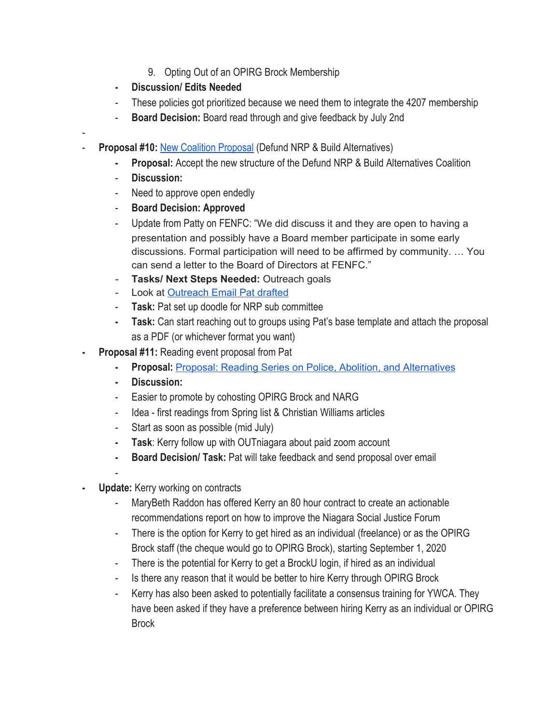- 9. Opting Out of an OPIRG Brock Membership
- **- Discussion/ Edits Needed**
- These policies got prioritized because we need them to integrate the 4207 membership
- **Board Decision:** Board read through and give feedback by July 2nd
- **Proposal #10: [New Coalition Proposal](https://docs.google.com/document/d/1zS5M2JzWJdwPzxyIqkJXzAjrc7gL2EU_KXu55Mz7Juw/edit#heading=h.kq8476d8kf9r) (Defund NRP & Build Alternatives)** 
	- **- Proposal:** Accept the new structure of the Defund NRP & Build Alternatives Coalition
	- **Discussion:**

-

- Need to approve open endedly
- **Board Decision: Approved**
- Update from Patty on FENFC: "We did discuss it and they are open to having a presentation and possibly have a Board member participate in some early discussions. Formal participation will need to be affirmed by community. … You can send a letter to the Board of Directors at FENFC."
- **Tasks/ Next Steps Needed:** Outreach goals
- Look at [Outreach](https://docs.google.com/document/d/1QT_bFRsWHhmwHqc5SUPyrMwRD0W0TV1eKkgrop5OJpQ/edit) Email Pat drafted
- **Task:** Pat set up doodle for NRP sub committee
- **- Task:** Can start reaching out to groups using Pat's base template and attach the proposal as a PDF (or whichever format you want)
- **- Proposal #11:** Reading event proposal from Pat
	- **- Proposal:** Proposal: Reading Series on Police, Abolition, and [Alternatives](https://docs.google.com/document/d/1Q2v4285EPCjskp4lCKcZOIJfe2uEVzme6tibr-cGbqs/edit)
	- **- Discussion:**
	- Easier to promote by cohosting OPIRG Brock and NARG
	- Idea first readings from Spring list & Christian Williams articles
	- Start as soon as possible (mid July)
	- **- Task**: Kerry follow up with OUTniagara about paid zoom account
	- **- Board Decision/ Task:** Pat will take feedback and send proposal over email
	- -
- **- Update:** Kerry working on contracts
	- MaryBeth Raddon has offered Kerry an 80 hour contract to create an actionable recommendations report on how to improve the Niagara Social Justice Forum
	- There is the option for Kerry to get hired as an individual (freelance) or as the OPIRG Brock staff (the cheque would go to OPIRG Brock), starting September 1, 2020
	- There is the potential for Kerry to get a BrockU login, if hired as an individual
	- Is there any reason that it would be better to hire Kerry through OPIRG Brock
	- Kerry has also been asked to potentially facilitate a consensus training for YWCA. They have been asked if they have a preference between hiring Kerry as an individual or OPIRG **Brock**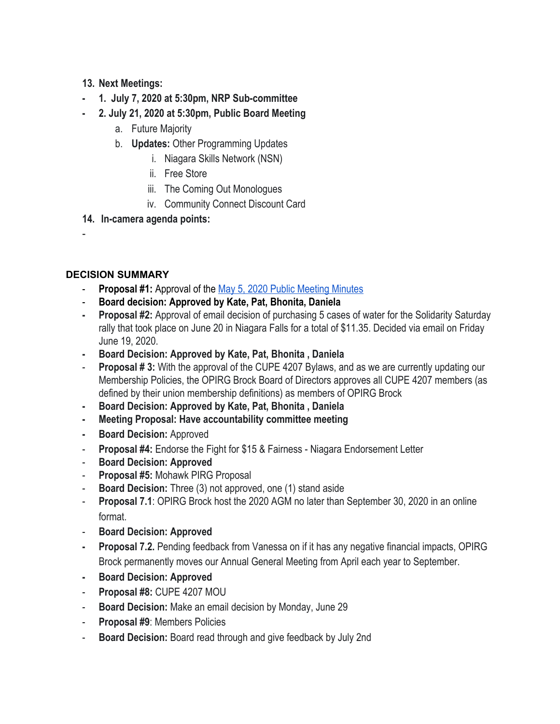- **13. Next Meetings:**
- **- 1. July 7, 2020 at 5:30pm, NRP Sub-committee**
- **- 2. July 21, 2020 at 5:30pm, Public Board Meeting**
	- a. Future Majority
	- b. **Updates:** Other Programming Updates
		- i. Niagara Skills Network (NSN)
		- ii. Free Store
		- iii. The Coming Out Monologues
		- iv. Community Connect Discount Card
- **14. In-camera agenda points:**

#### **DECISION SUMMARY**

-

- **Proposal #1:** Approval of the [May 5, 2020 Public Meeting Minutes](https://docs.google.com/document/d/1G_Y0xowdwNtzohP8Zt6iK0c6oO4c2MPyl7jNuSVxzOA/edit)
- **Board decision: Approved by Kate, Pat, Bhonita, Daniela**
- **- Proposal #2:** Approval of email decision of purchasing 5 cases of water for the Solidarity Saturday rally that took place on June 20 in Niagara Falls for a total of \$11.35. Decided via email on Friday June 19, 2020.
- **- Board Decision: Approved by Kate, Pat, Bhonita , Daniela**
- **Proposal # 3:** With the approval of the CUPE 4207 Bylaws, and as we are currently updating our Membership Policies, the OPIRG Brock Board of Directors approves all CUPE 4207 members (as defined by their union membership definitions) as members of OPIRG Brock
- **- Board Decision: Approved by Kate, Pat, Bhonita , Daniela**
- **- Meeting Proposal: Have accountability committee meeting**
- **- Board Decision:** Approved
- **Proposal #4:** Endorse the Fight for \$15 & Fairness Niagara Endorsement Letter
- **Board Decision: Approved**
- Proposal #5: Mohawk PIRG Proposal
- **Board Decision:** Three (3) not approved, one (1) stand aside
- **Proposal 7.1**: OPIRG Brock host the 2020 AGM no later than September 30, 2020 in an online format.
- **Board Decision: Approved**
- **- Proposal 7.2.** Pending feedback from Vanessa on if it has any negative financial impacts, OPIRG Brock permanently moves our Annual General Meeting from April each year to September.
- **- Board Decision: Approved**
- **Proposal #8:** CUPE 4207 MOU
- **Board Decision:** Make an email decision by Monday, June 29
- **Proposal #9: Members Policies**
- **Board Decision:** Board read through and give feedback by July 2nd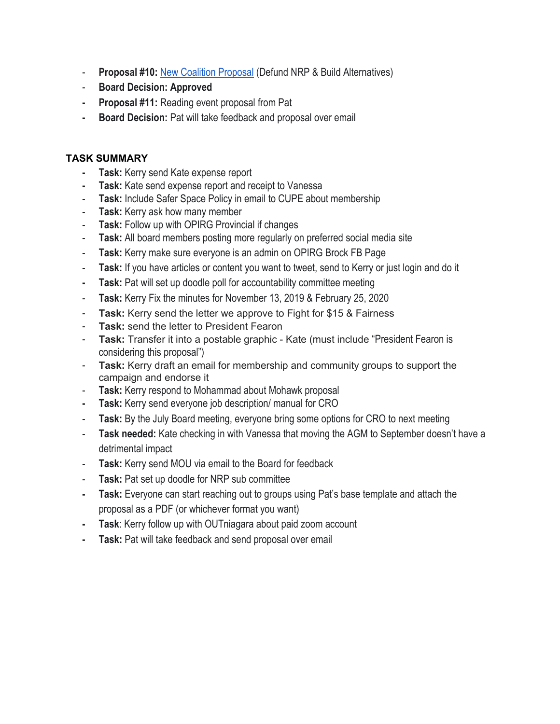- **Proposal #10: [New Coalition Proposal](https://docs.google.com/document/d/1zS5M2JzWJdwPzxyIqkJXzAjrc7gL2EU_KXu55Mz7Juw/edit#heading=h.kq8476d8kf9r) (Defund NRP & Build Alternatives)**
- **Board Decision: Approved**
- **- Proposal #11:** Reading event proposal from Pat
- **- Board Decision:** Pat will take feedback and proposal over email

#### **TASK SUMMARY**

- **- Task:** Kerry send Kate expense report
- **- Task:** Kate send expense report and receipt to Vanessa
- **Task:** Include Safer Space Policy in email to CUPE about membership
- **Task:** Kerry ask how many member
- **Task:** Follow up with OPIRG Provincial if changes
- **Task:** All board members posting more regularly on preferred social media site
- **Task:** Kerry make sure everyone is an admin on OPIRG Brock FB Page
- **Task:** If you have articles or content you want to tweet, send to Kerry or just login and do it
- **- Task:** Pat will set up doodle poll for accountability committee meeting
- **Task:** Kerry Fix the minutes for November 13, 2019 & February 25, 2020
- **Task:** Kerry send the letter we approve to Fight for \$15 & Fairness
- **Task:** send the letter to President Fearon
- **Task:** Transfer it into a postable graphic Kate (must include "President Fearon is considering this proposal")
- **Task:** Kerry draft an email for membership and community groups to support the campaign and endorse it
- **Task:** Kerry respond to Mohammad about Mohawk proposal
- **- Task:** Kerry send everyone job description/ manual for CRO
- **Task:** By the July Board meeting, everyone bring some options for CRO to next meeting
- **Task needed:** Kate checking in with Vanessa that moving the AGM to September doesn't have a detrimental impact
- **Task:** Kerry send MOU via email to the Board for feedback
- **Task:** Pat set up doodle for NRP sub committee
- **- Task:** Everyone can start reaching out to groups using Pat's base template and attach the proposal as a PDF (or whichever format you want)
- **- Task**: Kerry follow up with OUTniagara about paid zoom account
- **- Task:** Pat will take feedback and send proposal over email